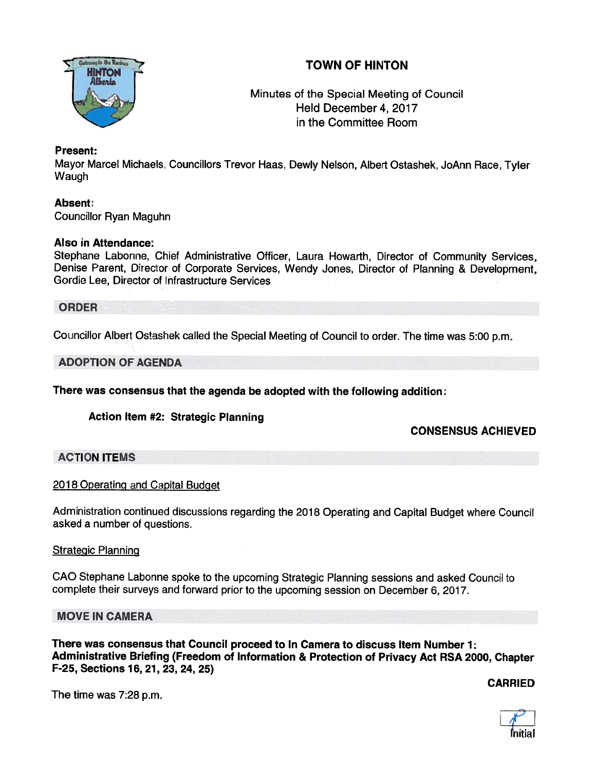



Minutes of the Special Meeting of Council Held December 4, 2017 in the Committee Room

# Present:

Mayor Marcel Michaels, Councillors Trevor Haas, Dewly Nelson, Albert Ostashek, JoAnn Race, Tyler Waugh

# Absent:

Councillor Ryan Maguhn

## Also in Attendance:

Stephane Labonne, Chief Administrative Officer, Laura Howarth, Director of Community Services, Denise Parent, Director of Corporate Services, Wendy Jones, Director of Planning & Development, Gordie Lee, Director of Infrastructure Services

**ORDER** 

Councillor Albert Ostashek called the Special Meeting of Council to order. The time was 5:00 p.m.

## ADOPTION OF AGENDA

There was consensus that the agenda be adopted with the following addition:

Action Item #2: Strategic Planning

CONSENSUS ACHIEVED

# ACTION ITEMS

#### <sup>2018</sup> Operating and Capital Budget

Administration continued discussions regarding the <sup>2018</sup> Operating and Capital Budget where Council asked <sup>a</sup> number of questions.

#### **Strategic Planning**

CAO Stephane Labonne spoke to the upcoming Strategic Planning sessions and asked Council to complete their surveys and forward prior to the upcoming session on December 6, 2017.

## MOVE IN CAMERA

There was consensus that Council proceed to In Camera to discuss Item Number 1: Administrative Briefing (Freedom of Information & Protection of Privacy Act RSA 2000, Chapter F-25, Sections 76, 21, 23, 24, 25)

CARRIED



The time was 7:28 p.m.